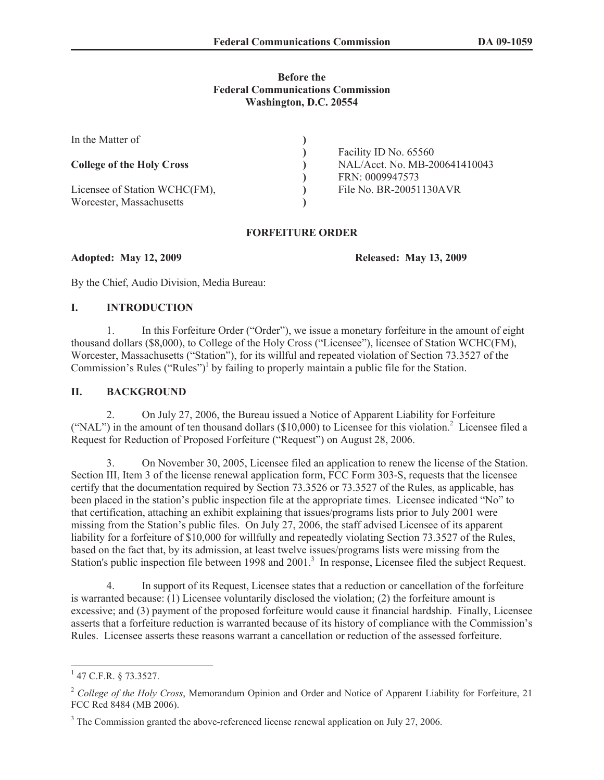#### **Before the Federal Communications Commission Washington, D.C. 20554**

| In the Matter of                 |                               |
|----------------------------------|-------------------------------|
|                                  | Facility ID No. 65560         |
| <b>College of the Holy Cross</b> | NAL/Acct. No. MB-200641410043 |
|                                  | FRN: 0009947573               |
| Licensee of Station WCHC(FM),    | File No. BR-20051130AVR       |
| Worcester, Massachusetts         |                               |

#### **FORFEITURE ORDER**

**Adopted: May 12, 2009 Released: May 13, 2009**

By the Chief, Audio Division, Media Bureau:

### **I. INTRODUCTION**

1. In this Forfeiture Order ("Order"), we issue a monetary forfeiture in the amount of eight thousand dollars (\$8,000), to College of the Holy Cross ("Licensee"), licensee of Station WCHC(FM), Worcester, Massachusetts ("Station"), for its willful and repeated violation of Section 73.3527 of the Commission's Rules ("Rules")<sup>1</sup> by failing to properly maintain a public file for the Station.

## **II. BACKGROUND**

2. On July 27, 2006, the Bureau issued a Notice of Apparent Liability for Forfeiture ("NAL") in the amount of ten thousand dollars (\$10,000) to Licensee for this violation.<sup>2</sup> Licensee filed a Request for Reduction of Proposed Forfeiture ("Request") on August 28, 2006.

3. On November 30, 2005, Licensee filed an application to renew the license of the Station. Section III, Item 3 of the license renewal application form, FCC Form 303-S, requests that the licensee certify that the documentation required by Section 73.3526 or 73.3527 of the Rules, as applicable, has been placed in the station's public inspection file at the appropriate times. Licensee indicated "No" to that certification, attaching an exhibit explaining that issues/programs lists prior to July 2001 were missing from the Station's public files. On July 27, 2006, the staff advised Licensee of its apparent liability for a forfeiture of \$10,000 for willfully and repeatedly violating Section 73.3527 of the Rules, based on the fact that, by its admission, at least twelve issues/programs lists were missing from the Station's public inspection file between 1998 and 2001.<sup>3</sup> In response, Licensee filed the subject Request.

4. In support of its Request, Licensee states that a reduction or cancellation of the forfeiture is warranted because: (1) Licensee voluntarily disclosed the violation; (2) the forfeiture amount is excessive; and (3) payment of the proposed forfeiture would cause it financial hardship. Finally, Licensee asserts that a forfeiture reduction is warranted because of its history of compliance with the Commission's Rules. Licensee asserts these reasons warrant a cancellation or reduction of the assessed forfeiture.

 $1$  47 C.F.R. § 73.3527.

<sup>2</sup> *College of the Holy Cross*, Memorandum Opinion and Order and Notice of Apparent Liability for Forfeiture, 21 FCC Rcd 8484 (MB 2006).

<sup>&</sup>lt;sup>3</sup> The Commission granted the above-referenced license renewal application on July 27, 2006.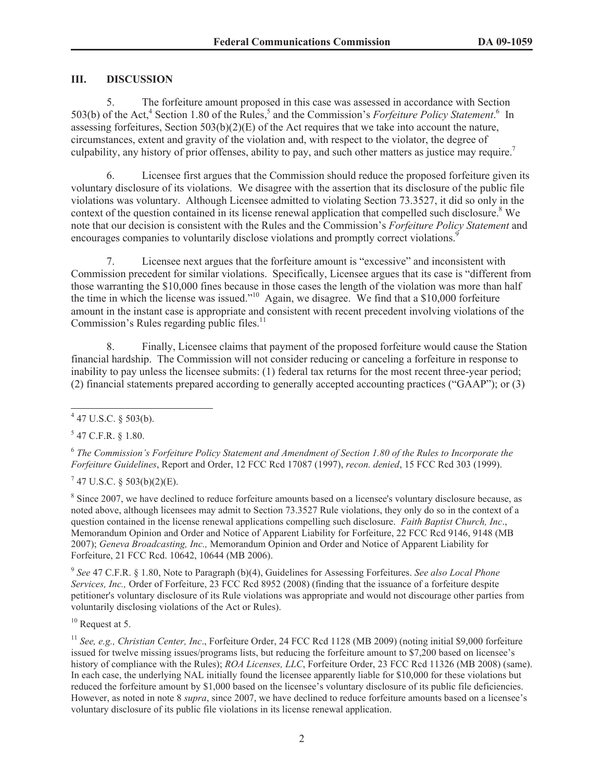## **III. DISCUSSION**

5. The forfeiture amount proposed in this case was assessed in accordance with Section 503(b) of the Act,<sup>4</sup> Section 1.80 of the Rules,<sup>5</sup> and the Commission's *Forfeiture Policy Statement*.<sup>6</sup> In assessing forfeitures, Section 503(b)(2)(E) of the Act requires that we take into account the nature, circumstances, extent and gravity of the violation and, with respect to the violator, the degree of culpability, any history of prior offenses, ability to pay, and such other matters as justice may require.<sup>7</sup>

6. Licensee first argues that the Commission should reduce the proposed forfeiture given its voluntary disclosure of its violations. We disagree with the assertion that its disclosure of the public file violations was voluntary. Although Licensee admitted to violating Section 73.3527, it did so only in the context of the question contained in its license renewal application that compelled such disclosure.<sup>8</sup> We note that our decision is consistent with the Rules and the Commission's *Forfeiture Policy Statement* and encourages companies to voluntarily disclose violations and promptly correct violations.<sup>9</sup>

7. Licensee next argues that the forfeiture amount is "excessive" and inconsistent with Commission precedent for similar violations. Specifically, Licensee argues that its case is "different from those warranting the \$10,000 fines because in those cases the length of the violation was more than half the time in which the license was issued."<sup>10</sup> Again, we disagree. We find that a \$10,000 forfeiture amount in the instant case is appropriate and consistent with recent precedent involving violations of the Commission's Rules regarding public files. $<sup>11</sup>$ </sup>

8. Finally, Licensee claims that payment of the proposed forfeiture would cause the Station financial hardship. The Commission will not consider reducing or canceling a forfeiture in response to inability to pay unless the licensee submits: (1) federal tax returns for the most recent three-year period; (2) financial statements prepared according to generally accepted accounting practices ("GAAP"); or (3)

 $5$  47 C.F.R. § 1.80.

6 *The Commission's Forfeiture Policy Statement and Amendment of Section 1.80 of the Rules to Incorporate the Forfeiture Guidelines*, Report and Order, 12 FCC Rcd 17087 (1997), *recon. denied*, 15 FCC Rcd 303 (1999).

 $7$  47 U.S.C. § 503(b)(2)(E).

<sup>8</sup> Since 2007, we have declined to reduce forfeiture amounts based on a licensee's voluntary disclosure because, as noted above, although licensees may admit to Section 73.3527 Rule violations, they only do so in the context of a question contained in the license renewal applications compelling such disclosure. *Faith Baptist Church, Inc*., Memorandum Opinion and Order and Notice of Apparent Liability for Forfeiture, 22 FCC Rcd 9146, 9148 (MB 2007); *Geneva Broadcasting, Inc.,* Memorandum Opinion and Order and Notice of Apparent Liability for Forfeiture, 21 FCC Rcd. 10642, 10644 (MB 2006).

9 *See* 47 C.F.R. § 1.80, Note to Paragraph (b)(4), Guidelines for Assessing Forfeitures. *See also Local Phone Services, Inc.,* Order of Forfeiture, 23 FCC Rcd 8952 (2008) (finding that the issuance of a forfeiture despite petitioner's voluntary disclosure of its Rule violations was appropriate and would not discourage other parties from voluntarily disclosing violations of the Act or Rules).

<sup>10</sup> Request at 5.

 $447$  U.S.C. § 503(b).

<sup>&</sup>lt;sup>11</sup> See, e.g., Christian Center, Inc., Forfeiture Order, 24 FCC Rcd 1128 (MB 2009) (noting initial \$9,000 forfeiture issued for twelve missing issues/programs lists, but reducing the forfeiture amount to \$7,200 based on licensee's history of compliance with the Rules); *ROA Licenses, LLC*, Forfeiture Order, 23 FCC Rcd 11326 (MB 2008) (same). In each case, the underlying NAL initially found the licensee apparently liable for \$10,000 for these violations but reduced the forfeiture amount by \$1,000 based on the licensee's voluntary disclosure of its public file deficiencies. However, as noted in note 8 *supra*, since 2007, we have declined to reduce forfeiture amounts based on a licensee's voluntary disclosure of its public file violations in its license renewal application.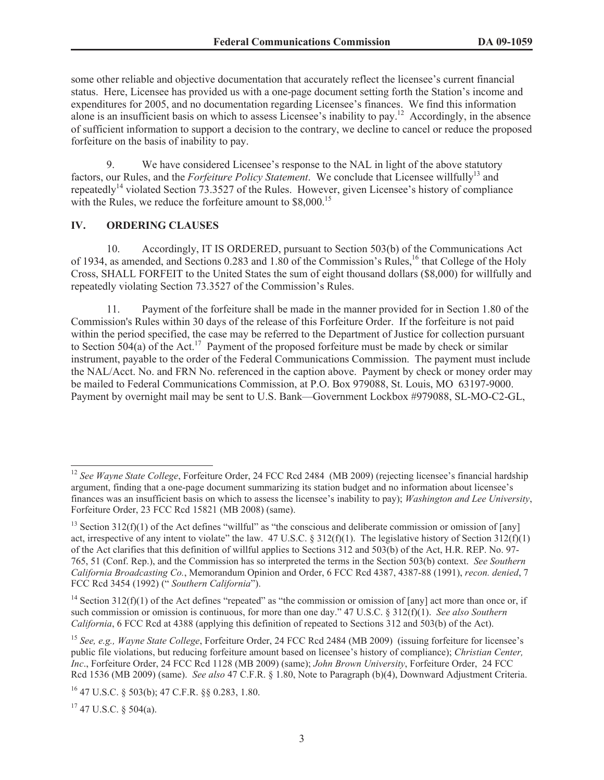some other reliable and objective documentation that accurately reflect the licensee's current financial status. Here, Licensee has provided us with a one-page document setting forth the Station's income and expenditures for 2005, and no documentation regarding Licensee's finances. We find this information alone is an insufficient basis on which to assess Licensee's inability to pay.<sup>12</sup> Accordingly, in the absence of sufficient information to support a decision to the contrary, we decline to cancel or reduce the proposed forfeiture on the basis of inability to pay.

9. We have considered Licensee's response to the NAL in light of the above statutory factors, our Rules, and the *Forfeiture Policy Statement*. We conclude that Licensee willfully<sup>13</sup> and repeatedly<sup>14</sup> violated Section 73.3527 of the Rules. However, given Licensee's history of compliance with the Rules, we reduce the forfeiture amount to \$8,000.<sup>15</sup>

# **IV. ORDERING CLAUSES**

10. Accordingly, IT IS ORDERED, pursuant to Section 503(b) of the Communications Act of 1934, as amended, and Sections 0.283 and 1.80 of the Commission's Rules,<sup>16</sup> that College of the Holy Cross, SHALL FORFEIT to the United States the sum of eight thousand dollars (\$8,000) for willfully and repeatedly violating Section 73.3527 of the Commission's Rules.

11. Payment of the forfeiture shall be made in the manner provided for in Section 1.80 of the Commission's Rules within 30 days of the release of this Forfeiture Order. If the forfeiture is not paid within the period specified, the case may be referred to the Department of Justice for collection pursuant to Section  $504(a)$  of the Act.<sup>17</sup> Payment of the proposed forfeiture must be made by check or similar instrument, payable to the order of the Federal Communications Commission. The payment must include the NAL/Acct. No. and FRN No. referenced in the caption above. Payment by check or money order may be mailed to Federal Communications Commission, at P.O. Box 979088, St. Louis, MO 63197-9000. Payment by overnight mail may be sent to U.S. Bank—Government Lockbox #979088, SL-MO-C2-GL,

 $17$  47 U.S.C. § 504(a).

<sup>&</sup>lt;sup>12</sup> See Wayne State College, Forfeiture Order, 24 FCC Rcd 2484 (MB 2009) (rejecting licensee's financial hardship argument, finding that a one-page document summarizing its station budget and no information about licensee's finances was an insufficient basis on which to assess the licensee's inability to pay); *Washington and Lee University*, Forfeiture Order, 23 FCC Rcd 15821 (MB 2008) (same).

<sup>&</sup>lt;sup>13</sup> Section 312(f)(1) of the Act defines "willful" as "the conscious and deliberate commission or omission of [any] act, irrespective of any intent to violate" the law. 47 U.S.C. § 312(f)(1). The legislative history of Section 312(f)(1) of the Act clarifies that this definition of willful applies to Sections 312 and 503(b) of the Act, H.R. REP. No. 97- 765, 51 (Conf. Rep.), and the Commission has so interpreted the terms in the Section 503(b) context. *See Southern California Broadcasting Co.*, Memorandum Opinion and Order, 6 FCC Rcd 4387, 4387-88 (1991), *recon. denied*, 7 FCC Rcd 3454 (1992) (" *Southern California*").

<sup>&</sup>lt;sup>14</sup> Section 312(f)(1) of the Act defines "repeated" as "the commission or omission of [any] act more than once or, if such commission or omission is continuous, for more than one day." 47 U.S.C. § 312(f)(1). *See also Southern California*, 6 FCC Rcd at 4388 (applying this definition of repeated to Sections 312 and 503(b) of the Act).

<sup>15</sup> *See, e.g., Wayne State College*, Forfeiture Order, 24 FCC Rcd 2484 (MB 2009) (issuing forfeiture for licensee's public file violations, but reducing forfeiture amount based on licensee's history of compliance); *Christian Center, Inc*., Forfeiture Order, 24 FCC Rcd 1128 (MB 2009) (same); *John Brown University*, Forfeiture Order, 24 FCC Rcd 1536 (MB 2009) (same). *See also* 47 C.F.R. § 1.80, Note to Paragraph (b)(4), Downward Adjustment Criteria.

<sup>16</sup> 47 U.S.C. § 503(b); 47 C.F.R. §§ 0.283, 1.80.